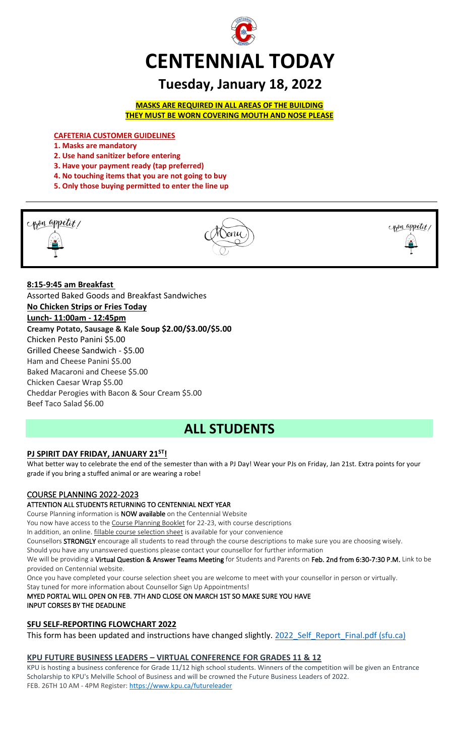

# **Tuesday, January 18, 2022**

**MASKS ARE REQUIRED IN ALL AREAS OF THE BUILDING THEY MUST BE WORN COVERING MOUTH AND NOSE PLEASE**

**CAFETERIA CUSTOMER GUIDELINES**

- **1. Masks are mandatory**
- **2. Use hand sanitizer before entering**
- **3. Have your payment ready (tap preferred)**
- **4. No touching items that you are not going to buy**
- **5. Only those buying permitted to enter the line up**



**8:15-9:45 am Breakfast** Assorted Baked Goods and Breakfast Sandwiches **No Chicken Strips or Fries Today Lunch- 11:00am - 12:45pm Creamy Potato, Sausage & Kale Soup \$2.00/\$3.00/\$5.00** Chicken Pesto Panini \$5.00 Grilled Cheese Sandwich - \$5.00 Ham and Cheese Panini \$5.00 Baked Macaroni and Cheese \$5.00 Chicken Caesar Wrap \$5.00 Cheddar Perogies with Bacon & Sour Cream \$5.00 Beef Taco Salad \$6.00

# **ALL STUDENTS**

# **PJ SPIRIT DAY FRIDAY, JANUARY 21ST!**

What better way to celebrate the end of the semester than with a PJ Day! Wear your PJs on Friday, Jan 21st. Extra points for your grade if you bring a stuffed animal or are wearing a robe!

# COURSE PLANNING 2022-2023

# ATTENTION ALL STUDENTS RETURNING TO CENTENNIAL NEXT YEAR

Course Planning information is NOW available on the Centennial Website

You now have access to the Course Planning Booklet for 22-23, with course descriptions

In addition, an online. *fillable course selection sheet* is available for your convenience

Counsellors STRONGLY encourage all students to read through the course descriptions to make sure you are choosing wisely.

Should you have any unanswered questions please contact your counsellor for further information

We will be providing a Virtual Question & Answer Teams Meeting for Students and Parents on Feb. 2nd from 6:30-7:30 P.M. Link to be provided on Centennial website.

Once you have completed your course selection sheet you are welcome to meet with your counsellor in person or virtually.

Stay tuned for more information about Counsellor Sign Up Appointments!

MYED PORTAL WILL OPEN ON FEB. 7TH AND CLOSE ON MARCH 1ST SO MAKE SURE YOU HAVE

# INPUT CORSES BY THE DEADLINE

# **SFU SELF-REPORTING FLOWCHART 2022**

This form has been updated and instructions have changed slightly. 2022 Self\_Report\_Final.pdf (sfu.ca)

# **KPU FUTURE BUSINESS LEADERS – VIRTUAL CONFERENCE FOR GRADES 11 & 12**

KPU is hosting a business conference for Grade 11/12 high school students. Winners of the competition will be given an Entrance Scholarship to KPU's Melville School of Business and will be crowned the Future Business Leaders of 2022. FEB. 26TH 10 AM - 4PM Register[: https://www.kpu.ca/futureleader](https://www.kpu.ca/futureleader)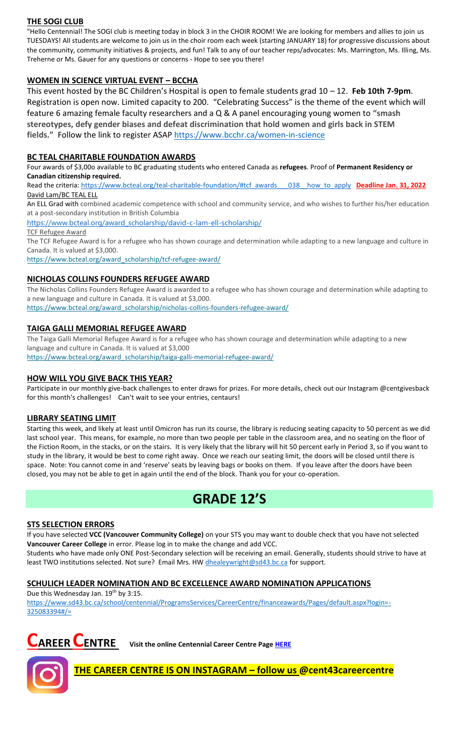# **THE SOGI CLUB**

"Hello Centennial! The SOGI club is meeting today in block 3 in the CHOIR ROOM! We are looking for members and allies to join us TUESDAYS! All students are welcome to join us in the choir room each week (starting JANUARY 18) for progressive discussions about the community, community initiatives & projects, and fun! Talk to any of our teacher reps/advocates: Ms. Marrington, Ms. Illing, Ms. Treherne or Ms. Gauer for any questions or concerns - Hope to see you there!

# **WOMEN IN SCIENCE VIRTUAL EVENT – BCCHA**

This event hosted by the BC Children's Hospital is open to female students grad 10 – 12. **Feb 10th 7-9pm**. Registration is open now. Limited capacity to 200. "Celebrating Success" is the theme of the event which will feature 6 amazing female faculty researchers and a Q & A panel encouraging young women to **"smash stereotypes, defy gender biases and defeat discrimination that hold women and girls back in STEM fields."** Follow the link to register ASAP<https://www.bcchr.ca/women-in-science>

# **BC TEAL CHARITABLE FOUNDATION AWARDS**

Four awards of \$3,00o available to BC graduating students who entered Canada as **refugees**. Proof of **Permanent Residency or Canadian citizenship required.**

Read the criteria: [https://www.bcteal.org/teal-charitable-foundation/#tcf\\_awards\\_\\_\\_038\\_\\_how\\_to\\_apply](file://///d00-v02-p01/Shared_Data/076/Staff_Shared/Office/centennial%20today/Centennial%20Today%202021-2022/January%202022/​https:/www.bcteal.org/teal-charitable-foundation/%23tcf_awards___038__how_to_apply) **Deadline Jan. 31, 2022** David Lam/BC TEAL ELL

An ELL Grad with combined academic competence with school and community service, and who wishes to further his/her education at a post-secondary institution in British Columbia

[https://www.bcteal.org/award\\_scholarship/david-c-lam-ell-scholarship/](https://www.bcteal.org/award_scholarship/david-c-lam-ell-scholarship/​)

TCF Refugee Award

The TCF Refugee Award is for a refugee who has shown courage and determination while adapting to a new language and culture in Canada. It is valued at \$3,000.

[https://www.bcteal.org/award\\_scholarship/tcf-refugee-award/](https://www.bcteal.org/award_scholarship/tcf-refugee-award/)

# **NICHOLAS COLLINS FOUNDERS REFUGEE AWARD**

The Nicholas Collins Founders Refugee Award is awarded to a refugee who has shown courage and determination while adapting to a new language and culture in Canada. It is valued at \$3,000.

[https://www.bcteal.org/award\\_scholarship/nicholas-collins-founders-refugee-award/](https://www.bcteal.org/award_scholarship/nicholas-collins-founders-refugee-award/)

# **TAIGA GALLI MEMORIAL REFUGEE AWARD**

The Taiga Galli Memorial Refugee Award is for a refugee who has shown courage and determination while adapting to a new language and culture in Canada. It is valued at \$3,000 [https://www.bcteal.org/award\\_scholarship/taiga-galli-memorial-refugee-award/](https://www.bcteal.org/award_scholarship/taiga-galli-memorial-refugee-award/)

## **HOW WILL YOU GIVE BACK THIS YEAR?**

Participate in our monthly give-back challenges to enter draws for prizes. For more details, check out our Instagram @centgivesback for this month's challenges! Can't wait to see your entries, centaurs!

#### **LIBRARY SEATING LIMIT**

Starting this week, and likely at least until Omicron has run its course, the library is reducing seating capacity to 50 percent as we did last school year. This means, for example, no more than two people per table in the classroom area, and no seating on the floor of the Fiction Room, in the stacks, or on the stairs. It is very likely that the library will hit 50 percent early in Period 3, so if you want to study in the library, it would be best to come right away. Once we reach our seating limit, the doors will be closed until there is space. Note: You cannot come in and 'reserve' seats by leaving bags or books on them. If you leave after the doors have been closed, you may not be able to get in again until the end of the block. Thank you for your co-operation.

# **GRADE 12'S**

# **STS SELECTION ERRORS**

If you have selected **VCC (Vancouver Community College)** on your STS you may want to double check that you have not selected **Vancouver Career College** in error. Please log in to make the change and add VCC. Students who have made only ONE Post-Secondary selection will be receiving an email. Generally, students should strive to have at least TWO institutions selected. Not sure? Email Mrs. HW [dhealeywright@sd43.bc.ca](mailto:dhealeywright@sd43.bc.ca) for support.

#### **SCHULICH LEADER NOMINATION AND BC EXCELLENCE AWARD NOMINATION APPLICATIONS**

Due this Wednesday Jan. 19<sup>th</sup> by 3:15.

[https://www.sd43.bc.ca/school/centennial/ProgramsServices/CareerCentre/financeawards/Pages/default.aspx?login=-](https://www.sd43.bc.ca/school/centennial/ProgramsServices/CareerCentre/financeawards/Pages/default.aspx?login=-325083394#/=) [325083394#/=](https://www.sd43.bc.ca/school/centennial/ProgramsServices/CareerCentre/financeawards/Pages/default.aspx?login=-325083394#/=)





**THE CAREER CENTRE IS ON INSTAGRAM – follow us @cent43careercentre**